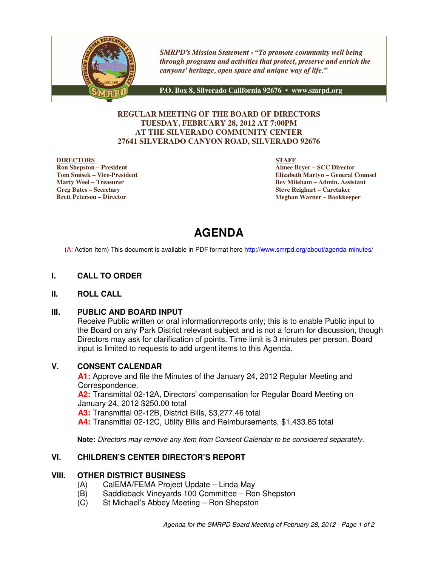

**SMRPD's Mission Statement - "To promote community well being** through programs and activities that protect, preserve and enrich the canyons' heritage, open space and unique way of life."

P.O. Box 8, Silverado California 92676 · www.smrpd.org

#### **REGULAR MEETING OF THE BOARD OF DIRECTORS TUESDAY, FEBRUARY 28, 2012 AT 7:00PM AT THE SILVERADO COMMUNITY CENTER 27641 SILVERADO CANYON ROAD, SILVERADO 92676**

#### **DIRECTORS**

**Ron Shepston – President Tom Smisek – Vice-President Marty Weel – Treasurer Greg Bates – Secretary Brett Peterson – Director**

**STAFF**

**Aimee Bryer – SCC Director Elizabeth Martyn – General Counsel Bev Mileham – Admin. Assistant Steve Reighart – Caretaker Meghan Warner – Bookkeeper**

# **AGENDA**

(A: Action Item) This document is available in PDF format here http://www.smrpd.org/about/agenda-minutes/

#### **I. CALL TO ORDER**

#### **II. ROLL CALL**

#### **III. PUBLIC AND BOARD INPUT**

Receive Public written or oral information/reports only; this is to enable Public input to the Board on any Park District relevant subject and is not a forum for discussion, though Directors may ask for clarification of points. Time limit is 3 minutes per person. Board input is limited to requests to add urgent items to this Agenda.

#### **V. CONSENT CALENDAR**

**A1:** Approve and file the Minutes of the January 24, 2012 Regular Meeting and Correspondence. **A2:** Transmittal 02-12A, Directors' compensation for Regular Board Meeting on January 24, 2012 \$250.00 total **A3:** Transmittal 02-12B, District Bills, \$3,277.46 total **A4:** Transmittal 02-12C, Utility Bills and Reimbursements, \$1,433.85 total

**Note:** Directors may remove any item from Consent Calendar to be considered separately.

#### **VI. CHILDREN'S CENTER DIRECTOR'S REPORT**

#### **VIII. OTHER DISTRICT BUSINESS**

- (A) CalEMA/FEMA Project Update Linda May
- (B) Saddleback Vineyards 100 Committee Ron Shepston
- (C) St Michael's Abbey Meeting Ron Shepston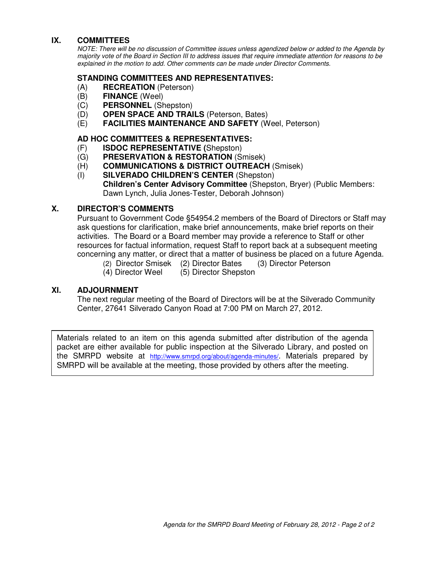#### **IX. COMMITTEES**

NOTE: There will be no discussion of Committee issues unless agendized below or added to the Agenda by majority vote of the Board in Section III to address issues that require immediate attention for reasons to be explained in the motion to add. Other comments can be made under Director Comments.

#### **STANDING COMMITTEES AND REPRESENTATIVES:**

- (A) **RECREATION** (Peterson)
- (B) **FINANCE** (Weel)
- (C) **PERSONNEL** (Shepston)
- (D) **OPEN SPACE AND TRAILS** (Peterson, Bates)
- (E) **FACILITIES MAINTENANCE AND SAFETY** (Weel, Peterson)

#### **AD HOC COMMITTEES & REPRESENTATIVES:**

- (F) **ISDOC REPRESENTATIVE (**Shepston)
- (G) **PRESERVATION & RESTORATION** (Smisek)
- (H) **COMMUNICATIONS & DISTRICT OUTREACH** (Smisek)
- (I) **SILVERADO CHILDREN'S CENTER** (Shepston) **Children's Center Advisory Committee** (Shepston, Bryer) (Public Members: Dawn Lynch, Julia Jones-Tester, Deborah Johnson)

#### **X. DIRECTOR'S COMMENTS**

Pursuant to Government Code §54954.2 members of the Board of Directors or Staff may ask questions for clarification, make brief announcements, make brief reports on their activities. The Board or a Board member may provide a reference to Staff or other resources for factual information, request Staff to report back at a subsequent meeting concerning any matter, or direct that a matter of business be placed on a future Agenda.

- (2) Director Smisek (2) Director Bates (3) Director Peterson
- (4) Director Weel (5) Director Shepston

#### **XI. ADJOURNMENT**

The next regular meeting of the Board of Directors will be at the Silverado Community Center, 27641 Silverado Canyon Road at 7:00 PM on March 27, 2012.

Materials related to an item on this agenda submitted after distribution of the agenda packet are either available for public inspection at the Silverado Library, and posted on the SMRPD website at http://www.smrpd.org/about/agenda-minutes/. Materials prepared by SMRPD will be available at the meeting, those provided by others after the meeting.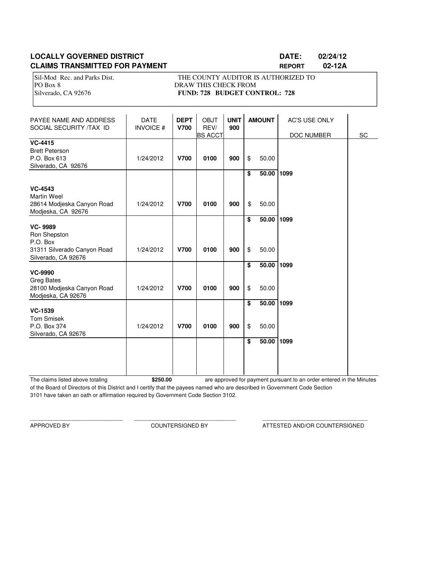### **LOCALLY GOVERNED DISTRICT LATE: 02/24/12 CLAIMS TRANSMITTED FOR PAYMENT REPORT 02-12A**

Sil-Mod Rec. and Parks Dist. THE COUNTY AUDITOR IS AUTHORIZED TO PO Box 8 DRAW THIS CHECK FROM Silverado, CA 92676 **FUND: 728 BUDGET CONTROL: 728** 

| PAYEE NAME AND ADDRESS<br>SOCIAL SECURITY /TAX ID                                                | <b>DATE</b><br><b>INVOICE#</b> | <b>DEPT</b><br><b>V700</b> | <b>OBJT</b><br>REV/<br><b>BS ACCT</b> | <b>UNIT</b><br>900 |          | <b>AMOUNT</b>  | <b>AC'S USE ONLY</b><br>DOC NUMBER | SC |
|--------------------------------------------------------------------------------------------------|--------------------------------|----------------------------|---------------------------------------|--------------------|----------|----------------|------------------------------------|----|
| <b>VC-4415</b><br><b>Brett Peterson</b><br>P.O. Box 613<br>Silverado, CA 92676                   | 1/24/2012                      | <b>V700</b>                | 0100                                  | 900                | \$       | 50.00          |                                    |    |
| <b>VC-4543</b><br><b>Martin Weel</b><br>28614 Modjeska Canyon Road<br>Modjeska, CA 92676         | 1/24/2012                      | <b>V700</b>                | 0100                                  | 900                | \$<br>\$ | 50.00<br>50.00 | 1099                               |    |
| <b>VC-9989</b><br>Ron Shepston<br>P.O. Box<br>31311 Silverado Canyon Road<br>Silverado, CA 92676 | 1/24/2012                      | <b>V700</b>                | 0100                                  | 900                | \$<br>\$ | 50.00<br>50.00 | 1099                               |    |
| <b>VC-9990</b><br><b>Greg Bates</b><br>28100 Modjeska Canyon Road<br>Modjeska, CA 92676          | 1/24/2012                      | <b>V700</b>                | 0100                                  | 900                | \$<br>\$ | 50.00<br>50.00 | 1099                               |    |
| <b>VC-1539</b><br><b>Tom Smisek</b><br>P.O. Box 374<br>Silverado, CA 92676                       | 1/24/2012                      | <b>V700</b>                | 0100                                  | 900                | \$<br>\$ | 50.00<br>50.00 | 1099                               |    |
|                                                                                                  |                                |                            |                                       |                    | \$       | 50.00          | 1099                               |    |

The claims listed above totaling **\$250.00** of the Board of Directors of this District and I certify that the payees named who are described in Government Code Section 3101 have taken an oath or affirmation required by Government Code Section 3102. are approved for payment pursuant to an order entered in the Minutes

\_\_\_\_\_\_\_\_\_\_\_\_\_\_\_\_\_\_\_\_\_\_\_\_\_\_\_\_\_\_ \_\_\_\_\_\_\_\_\_\_\_\_\_\_\_\_\_\_\_\_\_\_\_\_\_\_\_\_\_\_\_\_\_ \_\_\_\_\_\_\_\_\_\_\_\_\_\_\_\_\_\_\_\_\_\_\_\_\_\_\_\_\_\_\_\_\_\_

APPROVED BY COUNTERSIGNED BY ATTESTED AND/OR COUNTERSIGNED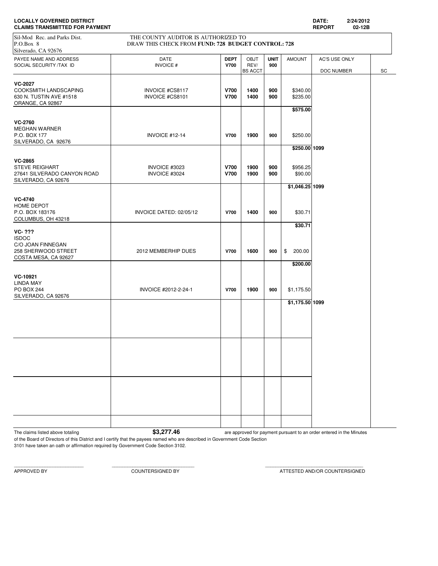| <b>CLAIMS TRANSMITTED FOR PAYMENT</b>                                                       |                                                                                           |                            |                                |                    |                                  | <b>REPORT</b><br>02-12B |    |
|---------------------------------------------------------------------------------------------|-------------------------------------------------------------------------------------------|----------------------------|--------------------------------|--------------------|----------------------------------|-------------------------|----|
| Sil-Mod Rec. and Parks Dist.<br>P.O.Box 8<br>Silverado, CA 92676                            | THE COUNTY AUDITOR IS AUTHORIZED TO<br>DRAW THIS CHECK FROM FUND: 728 BUDGET CONTROL: 728 |                            |                                |                    |                                  |                         |    |
| PAYEE NAME AND ADDRESS<br>SOCIAL SECURITY /TAX ID                                           | <b>DATE</b><br><b>INVOICE#</b>                                                            | <b>DEPT</b><br><b>V700</b> | OBJT<br>REV/                   | <b>UNIT</b><br>900 | <b>AMOUNT</b>                    | AC'S USE ONLY           |    |
| <b>VC-2027</b><br>COOKSMITH LANDSCAPING<br>630 N. TUSTIN AVE #1518<br>ORANGE, CA 92867      | INVOICE #CS8117<br>INVOICE #CS8101                                                        | <b>V700</b><br><b>V700</b> | <b>BS ACCT</b><br>1400<br>1400 | 900<br>900         | \$340.00<br>\$235.00<br>\$575.00 | DOC NUMBER              | SC |
| <b>VC-2760</b><br>MEGHAN WARNER<br>P.O. BOX 177<br>SILVERADO, CA 92676                      | INVOICE #12-14                                                                            | <b>V700</b>                | 1900                           | 900                | \$250.00<br>\$250.00 1099        |                         |    |
| VC-2865<br><b>STEVE REIGHART</b><br>27641 SILVERADO CANYON ROAD<br>SILVERADO, CA 92676      | INVOICE #3023<br>INVOICE #3024                                                            | <b>V700</b><br><b>V700</b> | 1900<br>1900                   | 900<br>900         | \$956.25<br>\$90.00              |                         |    |
| <b>VC-4740</b><br>HOME DEPOT<br>P.O. BOX 183176<br>COLUMBUS, OH 43218                       | INVOICE DATED: 02/05/12                                                                   | <b>V700</b>                | 1400                           | 900                | \$1,046.25 1099<br>\$30.71       |                         |    |
| VC- ???<br><b>ISDOC</b><br>C/O JOAN FINNEGAN<br>258 SHERWOOD STREET<br>COSTA MESA, CA 92627 | 2012 MEMBERHIP DUES                                                                       | <b>V700</b>                | 1600                           | 900                | \$30.71<br>200.00<br>\$          |                         |    |
| VC-10921<br>LINDA MAY<br>PO BOX 244<br>SILVERADO, CA 92676                                  | INVOICE #2012-2-24-1                                                                      | <b>V700</b>                | 1900                           | 900                | \$200.00<br>\$1,175.50           |                         |    |
|                                                                                             |                                                                                           |                            |                                |                    | \$1,175.50 1099                  |                         |    |
|                                                                                             |                                                                                           |                            |                                |                    |                                  |                         |    |
|                                                                                             |                                                                                           |                            |                                |                    |                                  |                         |    |
|                                                                                             |                                                                                           |                            |                                |                    |                                  |                         |    |

**LOCALLY GOVERNED DISTRICT DATE: 2/24/2012**

The claims listed above totaling **\$3,277.46** are approved for payment pursuant to an order entered in the Minutes

of the Board of Directors of this District and I certify that the payees named who are described in Government Code Section 3101 have taken an oath or affirmation required by Government Code Section 3102.

APPROVED BY COUNTERSIGNED BY ATTESTED AND/OR COUNTERSIGNED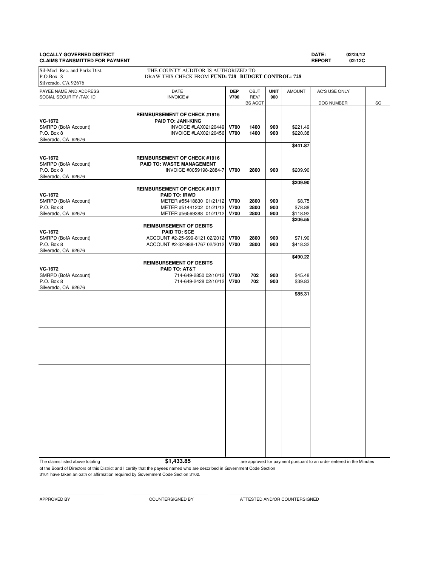## **LOCALLY GOVERNED DISTRICT DATE: 02/24/12**

**CLAIMS TRANSMITTED FOR PAYMENT REPORT 02-12C** PAYEE NAME AND ADDRESS **DATE DEP** OBJT **UNIT** AMOUNT AC'S USE ONLY SOCIAL SECURITY /TAX ID **INVOICE # V700** REV/ **900 REV/ 900 BS** ACCT DOC NUMBER SC **REIMBURSEMENT OF CHECK #1915 VC-1672 PAID TO: JANI-KING**<br>
SMRPD (BofA Account) **PAID TO: JANI-KING** SMRPD (BofA Account) **INVOICE #LAX02120449 V700 1400 900** \$221.49<br>P.O. Box 8 **INVOICE #LAX02120456 V700 1400 900** \$220.38 P.O. Box 8 **INVOICE #LAX02120456 V700** | 1400 | 900 Silverado, CA 92676 **\$441.87 VC-1672 REIMBURSEMENT OF CHECK #1916**<br> **PAID TO: WASTE MANAGEMENT** SMRPD (BofA Account) **PAID TO: WASTE MANAGEMENT**<br>P.O. Box 8 **PAID TO: WASTE MANAGEMENT**<br>INVOICE #0059198-288 P.O. Box 8 INVOICE #0059198-2884-7 **V700 2800 900** \$209.90 Silverado, CA 92676 **\$209.90 REIMBURSEMENT OF CHECK #1917 VC-1672 PAID TO: IRWD** SMRPD (BofA Account) **METER #55418830 01/21/12 V700** 2800 900 \$8.75<br>P.O. Box 8 **METER #51441202 01/21/12 V700** 2800 900 \$78.88 P.O. Box 8 METER #51441202 01/21/12 **V700 2800 900 \$78.88** Silverado, CA 92676 **METER #56569388 01/21/12 V700** 2800 900 \$118.92 METER #56569388 01/21/12 **\$206.55 REIMBURSEMENT OF DEBITS VC-1672 PAID TO: SCE** SMRPD (BofA Account)  $ACCOUNT #2-25-699-8121 02/2012$  **V700** 2800 900 \$71.90<br>P.O. Box 8 900 \$418.32 P.O. Box 8 ACCOUNT #2-32-988-1767 02/2012 **V700 2800 900** \$418.32 Silverado, CA 92676 **\$490.22 REIMBURSEMENT OF DEBITS VC-1672 PAID TO: AT&T** SMRPD (BofA Account) 2000 114-649-2850 02/10/12 **V700 702 900** \$45.48<br>P.O. Box 8 900 539.83 P.O. Box 8 714-649-2428 02/10/12 **V700 702 900** \$39.83 Silverado, CA 92676 **\$85.31** Sil-Mod Rec. and Parks Dist. THE COUNTY AUDITOR IS AUTHORIZED TO P.O.Box 8 DRAW THIS CHECK FROM **FUND: 728 BUDGET CONTROL: 728** Silverado, CA 92676

The claims listed above totaling **\$1,433.85** 

are approved for payment pursuant to an order entered in the Minutes

of the Board of Directors of this District and I certify that the payees named who are described in Government Code Section 3101 have taken an oath or affirmation required by Government Code Section 3102.

APPROVED BY COUNTERSIGNED BY ATTESTED AND/OR COUNTERSIGNED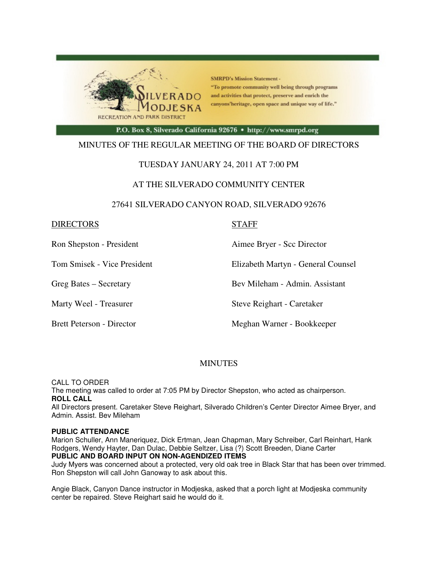

**SMRPD's Mission Statement -**"To promote community well being through programs and activities that protect, preserve and enrich the canyons'heritage, open space and unique way of life."

P.O. Box 8, Silverado California 92676 · http://www.smrpd.org

#### MINUTES OF THE REGULAR MEETING OF THE BOARD OF DIRECTORS

#### TUESDAY JANUARY 24, 2011 AT 7:00 PM

#### AT THE SILVERADO COMMUNITY CENTER

#### 27641 SILVERADO CANYON ROAD, SILVERADO 92676

#### DIRECTORS STAFF

Ron Shepston - President Aimee Bryer - Scc Director

Tom Smisek - Vice President Elizabeth Martyn - General Counsel

Greg Bates – Secretary Bev Mileham - Admin. Assistant

Marty Weel - Treasurer Steve Reighart - Caretaker

Brett Peterson - Director Meghan Warner - Bookkeeper

#### **MINUTES**

CALL TO ORDER The meeting was called to order at 7:05 PM by Director Shepston, who acted as chairperson. **ROLL CALL** 

All Directors present. Caretaker Steve Reighart, Silverado Children's Center Director Aimee Bryer, and Admin. Assist. Bev Mileham

#### **PUBLIC ATTENDANCE**

Marion Schuller, Ann Maneriquez, Dick Ertman, Jean Chapman, Mary Schreiber, Carl Reinhart, Hank Rodgers, Wendy Hayter, Dan Dulac, Debbie Seltzer, Lisa (?) Scott Breeden, Diane Carter **PUBLIC AND BOARD INPUT ON NON-AGENDIZED ITEMS**

Judy Myers was concerned about a protected, very old oak tree in Black Star that has been over trimmed. Ron Shepston will call John Ganoway to ask about this.

Angie Black, Canyon Dance instructor in Modjeska, asked that a porch light at Modjeska community center be repaired. Steve Reighart said he would do it.